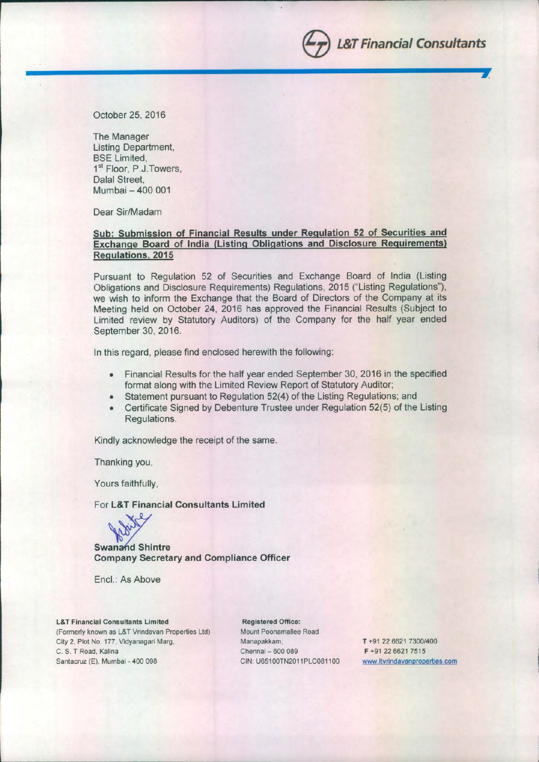October 25,2016

The Manager Listing Department, BSE Limited, 1<sup>st</sup> Floor, P.J.Towers, Dalal Street, Mumbai - 400 001

Dear Sir/Madam

### Sub: Submission of Financial Results under Regulation 52 of Securities and Exchange Board of India (Listing Obligations and Disclosure Reguirements) Regulations, 2015

**------------------------------------IIIIIIIrJ.**

Pursuant to Regulation 52 of Securities and Exchange Board of India (Listing Obligations and Disclosure Requirements) Regulations, 2015 ("Listing Regulations"), we wish to inform the Exchange that the Board of Directors of the Company at its Meeting held on October 24, 2016 has approved the Financial Results (Subject to Limited review by Statutory Auditors) of the Company for the half year ended September 30, 2016.

In this regard, please find enclosed herewith the following:

- Financial Results for the half year ended September 30,2016 in the specified format along with the Limited Review Report of Statutory Auditor;
- Statement pursuant to Regulation 52(4) of the Listing Regulations; and
- Certificate Signed by Debenture Trustee under Regulation 52(5) of the Listing Regulations.

Kindly acknowledge the receipt of the same.

Thanking you,

Yours faithfully,

For L&T Financial Consultants Limited



**Swanand Shintre** Company Secretary and Compliance Officer

Enc!.: As Above

**L&T Financial Consultants Limited** (Formerly known as L&T Vrindavan Properties Ltd) City 2. Plot No. 177. Vidyanagari Marg, C. S. T Road. Kalina Santacruz (E). Mumbai - 400 098

Registered Office: Mount Poonamailee Road Manapakkam. Chennai - 600 089 GIN: U65100TN2011PLG081100

T +91 226621 7300/400 F +91 226621 7515 **[www.ltvrindavanproperties.com](http://www.ltvrindavanproperties.com)**

S*L&T Financial Consultants*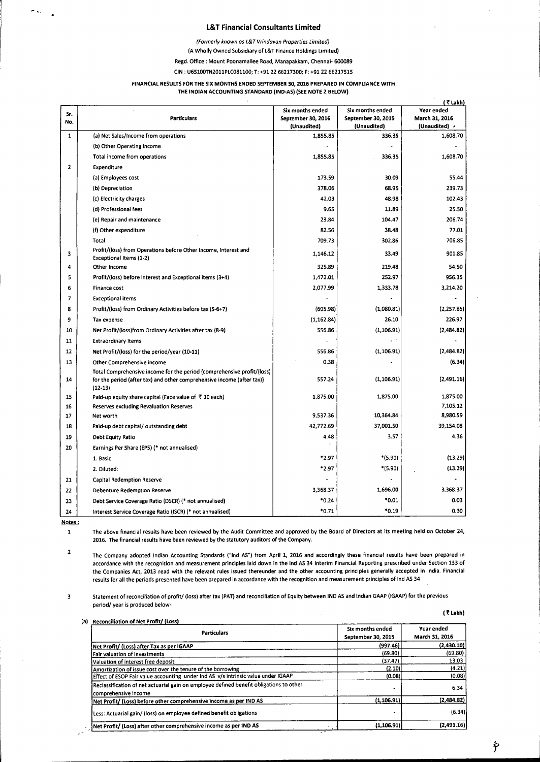### **L&T Financial Consultants limited**

*(Formerly known os L& T Vrindovon Properties Limited)*

(A Wholly Owned Subsidiary of L&T Finance Holdings Limited)

Regd. Office: Mount Poonamallee Road, Manapakkam, Chennai- 600089

CIN: U65100TN2011PLC081100; T: +91 22 66217300; F: +9122 66217515

#### FINANCIAL RESULTS FOR THE SIX MONTHS ENDED SEPTEMBER 30, 2016 PREPARED IN COMPLIANCE WITH THE INDIAN ACCOUNTING STANDARD (IND-AS) (SEE NOTE 2 BelOW)

|                          |                                                                                                                                                                 |                                   |                                   | (₹Lakh)                         |
|--------------------------|-----------------------------------------------------------------------------------------------------------------------------------------------------------------|-----------------------------------|-----------------------------------|---------------------------------|
| Sr.                      |                                                                                                                                                                 | Six months ended                  | Six months ended                  | Year ended                      |
| No.                      | <b>Particulars</b>                                                                                                                                              | September 30, 2016<br>(Unaudited) | September 30, 2015<br>(Unaudited) | March 31, 2016<br>(Unaudited) > |
| $\mathbf{1}$             | (a) Net 5ales/Income from operations                                                                                                                            | 1,855.85                          | 336.35                            | 1,608.70                        |
|                          | (b) Other Operating Income                                                                                                                                      |                                   |                                   |                                 |
|                          | Total income from operations                                                                                                                                    | 1,855.85                          | 336.35                            | 1,608.70                        |
| $\mathbf{2}$             | Expenditure                                                                                                                                                     |                                   |                                   |                                 |
|                          | (a) Employees cost                                                                                                                                              | 173.59                            | 30.09                             | 55.44                           |
|                          | (b) Depreciation                                                                                                                                                | 378.06                            | 68.95                             | 239.73                          |
|                          | (c) Electricity charges                                                                                                                                         | 42.03                             | 48.98                             | 102.43                          |
|                          | (d) Professional fees                                                                                                                                           | 9.65                              | 11.89                             | 25.50                           |
|                          | (e) Repair and maintenance                                                                                                                                      | 23.84                             | 104.47                            | 206.74                          |
|                          | (f) Other expenditure                                                                                                                                           | 82.56                             | 38.48                             | 77.01                           |
|                          | Total                                                                                                                                                           | 709.73                            | 302.86                            | 706.85                          |
| 3                        | Profit/(loss) from Operations before Other Income, Interest and<br>Exceptional Items (1-2)                                                                      | 1,146.12                          | 33.49                             | 901.85                          |
| 4                        | Other Income                                                                                                                                                    | 325.89                            | 219.48                            | 54.50                           |
| 5                        | Profit/(loss) before Interest and Exceptional items (3+4)                                                                                                       | 1,472.01                          | 252.97                            | 956.35                          |
| 6                        | Finance cost                                                                                                                                                    | 2,077.99                          | 1,333.78                          | 3,214.20                        |
| $\overline{\phantom{a}}$ | <b>Exceptional items</b>                                                                                                                                        |                                   |                                   |                                 |
| 8                        | Profit/(loss) from Ordinary Activities before tax (5-6+7)                                                                                                       | (605.98)                          | (1,080.81)                        | (2, 257.85)                     |
| 9                        | Tax expense                                                                                                                                                     | (1, 162.84)                       | 26.10                             | 226.97                          |
| 10                       | Net Profit/(loss)from Ordinary Activities after tax (8-9)                                                                                                       | 556.86                            | (1, 106.91)                       | (2,484.82)                      |
| 11                       | <b>Extraordinary Items</b>                                                                                                                                      |                                   |                                   |                                 |
| 12                       | Net Profit/(loss) for the period/year (10-11)                                                                                                                   | 556.86                            | (1, 106.91)                       | (2,484.82)                      |
| 13                       | Other Comprehensive income                                                                                                                                      | 0.38                              |                                   | (6.34)                          |
| 14                       | Total Comprehensive income for the period {comprehensive profit/(loss)  <br>for the period (after tax) and other comprehensive income (after tax)}<br>$(12-13)$ | 557.24                            | (1, 106.91)                       | (2,491.16)                      |
| 15                       | Paid-up equity share capital (Face value of ₹ 10 each)                                                                                                          | 1,875.00                          | 1,875.00                          | 1,875.00                        |
| 16                       | <b>Reserves excluding Revaluation Reserves</b>                                                                                                                  |                                   |                                   | 7,105.12                        |
| 17                       | Net worth                                                                                                                                                       | 9,537.36                          | 10,364.84                         | 8,980.59                        |
| 18                       | Paid-up debt capital/outstanding debt                                                                                                                           | 42,772.69                         | 37,001.50                         | 39,154.08                       |
| 19                       | Debt Equity Ratio                                                                                                                                               | 4.48                              | 3.57                              | 4.36                            |
| 20                       | Earnings Per Share (EPS) (* not annualised)                                                                                                                     |                                   |                                   |                                 |
|                          | 1. Basic.                                                                                                                                                       | *2.97                             | *(5.90)                           | (13.29)                         |
|                          | 2. Diluted:                                                                                                                                                     | *2.97                             | *(5.90)                           | (13.29)                         |
| 21                       | Capital Redemption Reserve                                                                                                                                      |                                   |                                   |                                 |
| 22                       | <b>Debenture Redemption Reserve</b>                                                                                                                             | 3,368.37                          | 1,696.00                          | 3,368.37                        |
| 23                       | Debt Service Coverage Ratio (DSCR) (* not annualised)                                                                                                           | *0.24                             | $*0.01$                           | 0.03                            |
| 24                       | Interest Service Coverage Ratio (ISCR) (* not annualised)                                                                                                       | $*0.71$                           | $*0.19$                           | 0.30                            |

Notes:  $\mathbf{1}$ 

r '.

The above financial results have been reviewed by the Audit Committee and approved by the Board of Directors at its meeting held on October 24, 2016. The financial results have been reviewed by the statutory auditors of the Company.

2 The Company adopted Indian Accounting Standards ("Ind AS") from April 1, 2016 and accordingly these financial results have been prepared in accordance with the recognition and measurement principles laid down in the Ind AS 34 Interim Financial Reporting prescribed under Section 133 of the Companies Act, 2013 read with the relevant rules issued thereunder and the other accounting principles generally accepted in India. Financial results for all the periods presented have been prepared in accordance with the recognition and measurement principles of Ind AS 34

3 Statement of reconciliation of profit/ (loss) after tax (PAT) and reconciliation of Equity between IND AS and Indian GAAP (IGAAP) for the previous period/ year is produced below-

|  |  | n<br>٠ |
|--|--|--------|
|--|--|--------|

| <b>Particulars</b>                                                                                               | Six months ended<br>September 30, 2015 | Year ended<br>March 31, 2016 |
|------------------------------------------------------------------------------------------------------------------|----------------------------------------|------------------------------|
| Net Profit/ (Loss) after Tax as per IGAAP                                                                        | (997.46)                               | (2,430.10)                   |
| Fair valuation of investments                                                                                    | (69.80)                                | (69.80)                      |
| Valuation of interest free deposit                                                                               | (37.47)                                | 13.03                        |
| Amortization of issue cost over the tenure of the borrowing                                                      | (2.10)                                 | (4.21)                       |
| Effect of ESOP Fair value accounting under Ind AS v/s intrinsic value under IGAAP                                | (0.08)                                 | (0.08)                       |
| Reclassification of net actuarial gain on employee defined benefit obligations to other<br>lcomprehensive income |                                        | 6.34                         |
| Net Profit/ (Loss) before other comprehensive income as per IND AS                                               | (1.106.91)                             | (2.484.82)                   |
| Less: Actuarial gain/ (loss) on employee defined benefit obligations                                             |                                        | (6.34)                       |
| Net Profit/ (Loss) after other comprehensive income as per IND AS                                                | (1, 106.91)                            | (2,491.16)                   |

f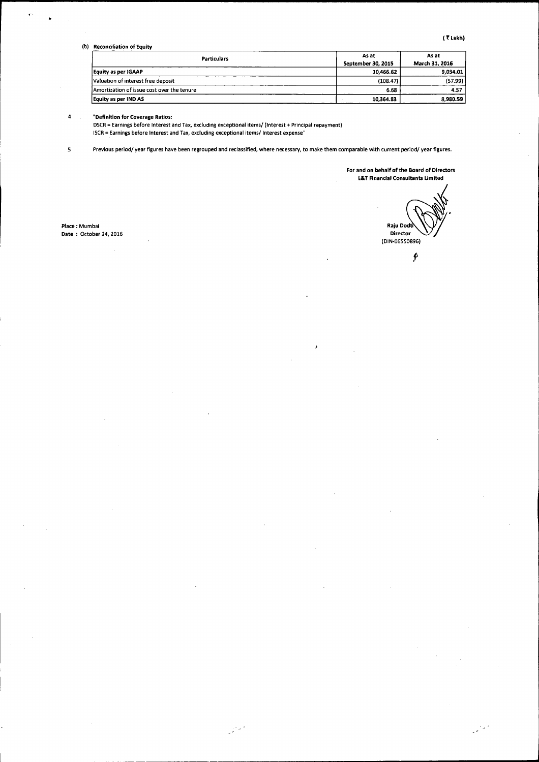(b) Reconciliation of Equity

| <b>Particulars</b>                          | As at              | As at          |
|---------------------------------------------|--------------------|----------------|
|                                             | September 30, 2015 | March 31, 2016 |
| Equity as per IGAAP                         | 10.466.62          | 9.034.01       |
| Valuation of interest free deposit          | (108.47)           | (57.99)        |
| IAmortization of issue cost over the tenure | 6.68               | 4.57           |
| Equity as per IND AS                        | 10,364.83          | 8,980.59       |

#### 4 "Definition for Coverage Ratios:

DSCR = Earnings before Interest and Tax, excluding exceptional items/ (Interest + Principal repayment) ISCR = Earnings before Interest and Tax, excluding exceptional items/ Interest expense"

.<br>Stef

5 Previous period/ year figures have been regrouped and reclassified, where necessary,to make them comparable with current period/ year figures.

For and on behalf of the Board of Directors l&T Financial Consultants Umited

Place: Mumbai Date : October 24, 2016

Raju Dodft Directo (DIN-06550896)  $\hat{\mathbf{r}}$ 

وللمرادي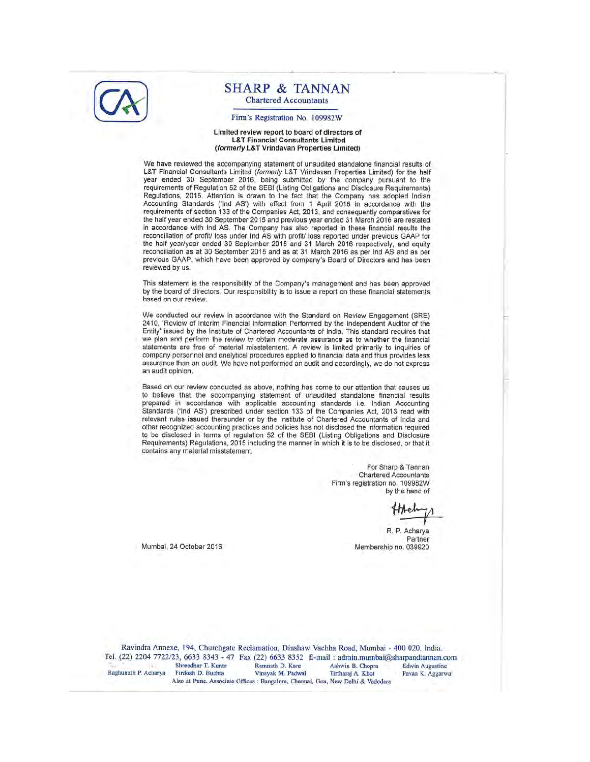

### **SHARP & TANNAN Chartered Accountants**

#### Firm's Registration No. 109982W

#### Limited review report to board of directors of **L&T Financial Consultants Limited** (formerly L&T Vrindavan Properties Limited)

We have reviewed the accompanying statement of unaudited standalone financial results of L&T Financial Consultants Limited (formerly L&T Vrindavan Properties Limited) for the half year ended 30 September 2016, being submitted by the company pursuant to the requirements of Regulation 52 of the SEBI (Listing Obligations and Disclosure Requirements) Regulations, 2015. Attention is drawn to the fact that the Company has adopted Indian Accounting Standards ('Ind AS') with effect from 1 April 2016 in accordance with the requirements of section 133 of the Companies Act, 2013, and consequently comparatives for the half year ended 30 September 2015 and previous year ended 31 March 2016 are restated in accordance with Ind AS. The Company has also reported in these financial results the reconciliation of profit/ loss under Ind AS with profit/ loss reported under previous GAAP for the half year/year ended 30 September 2015 and 31 March 2016 respectively, and equity reconciliation as at 30 September 2015 and as at 31 March 2016 as per Ind AS and as per previous GAAP, which have been approved by company's Board of Directors and has been reviewed by us.

This statement is the responsibility of the Company's management and has been approved by the board of directors. Our responsibility is to issue a report on these financial statements based on our review

We conducted our review in accordance with the Standard on Review Engagement (SRE) 2410, 'Review of Interim Financial Information Performed by the Independent Auditor of the Entity' issued by the Institute of Chartered Accountants of India. This standard requires that we plan and perform the review to obtain moderate assurance as to whether the financial statements are free of material misstatement. A review is limited primarily to inquiries of company personnel and analytical procedures applied to financial data and thus provides less assurance than an audit. We have not performed an audit and accordingly, we do not express an audit opinion.

Based on our review conducted as above, nothing has come to our attention that causes us to believe that the accompanying statement of unaudited standalone financial results prepared in accordance with applicable accounting standards i.e. Indian Accounting Standards ('Ind AS') prescribed under section 133 of the Companies Act, 2013 read with relevant rules issued thereunder or by the Institute of Chartered Accountants of India and other recognized accounting practices and policies has not disclosed the information required to be disclosed in terms of regulation 52 of the SEBI (Listing Obligations and Disclosure Requirements) Regulations, 2015 including the manner in which it is to be disclosed, or that it contains any material misstatement.

> For Sharp & Tannan **Chartered Accountants** Firm's registration no. 109982W by the hand of

R. P. Acharya Partner Membership no. 039920

Mumbai, 24 October 2016

Ravindra Annexe, 194, Churchgate Reclamation, Dinshaw Vachha Road, Mumbai - 400 020, India. Tel. (22) 2204 7722/23, 6633 8343 - 47 Fax (22) 6633 8352 E-mail: admin.mumbai@sharpandtannan.com Shreedhar T. Kunte Ramnath D. Kare Ashwin B. Chopra **Edwin Augustine** Raghunath P. Acharya Firdosh D. Buchia Pavan K. Aggarwal Vinayak M. Padwal Tirtharaj A. Khot Also at Pune. Associate Offices : Bangalore, Chennai, Goa, New Delhi & Vadodara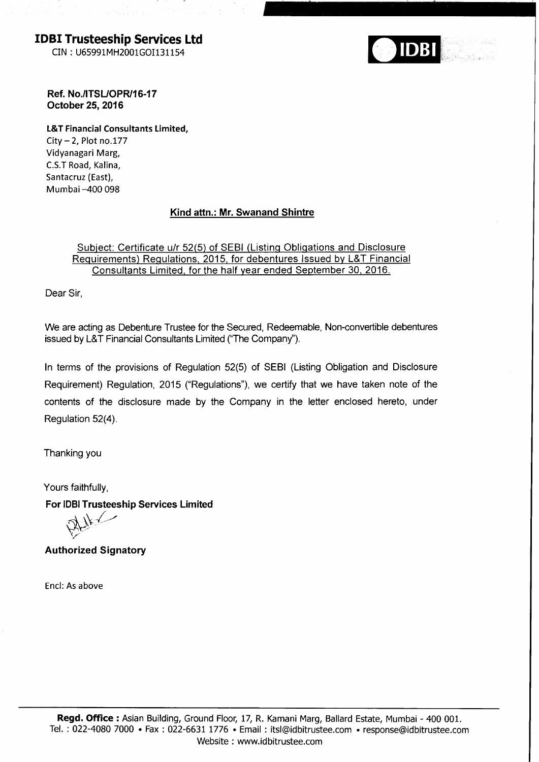IDBI Trusteeship Seruices Ltd

CIN : U65991MH2001cOI131154



Ref. No./ITSL/OPR/16-17 October 25,2016

L&T Financial Consultants Limited,  $City - 2$ , Plot no.177 Vidyanagari Marg, C.S.T Road, Kalina, Santacruz (East), Mumbai-400 098

# Kind attn.: Mr. Swanand Shintre

# Subject: Certificate u/r 52(5) of SEBI (Listing Obligations and Disclosure Requirements) Requlations, 2015. for debentures lssued bv L&T Financial Consultants Limited, for the half vear ended September 30, 2016.

Dear Sir,

We are acting as Debenture Trustee for the Secured, Redeemable, Non-convertible debentures issued by L&T Financial Consultants Limited ("The Company").

In terms of the provisions of Regulation 52(5) of SEBI (Listing Obligation and Disclosure Requirement) Regulation, 2015 ("Regulations"), we certify that we have taken note of the contents of the disclosure made by the Company in the letter enclosed hereto, under Regulation 52(4).

Thanking you

Yours faithfully,

For IDBI Trusteeship Services Limited

 $W/$  $\hat{\mathcal{F}}_{\mathbf{Y}}$ 

Authorized Signatory

Encl: As above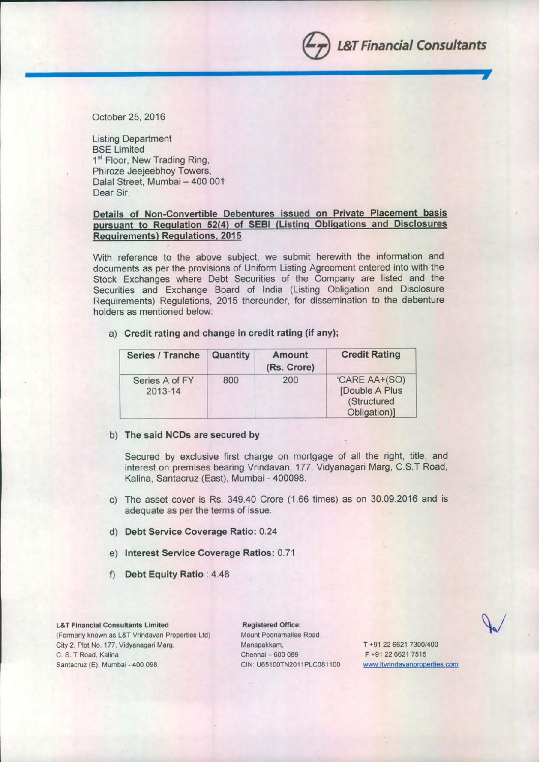October 25,2016

Listing Department BSE Limited 1<sup>st</sup> Floor, New Trading Ring, Phiroze Jeejeebhoy Towers, Dalal Street, Mumbai - 400 001 Dear Sir,

### Details of Non-Convertible Debentures issued on Private Placement basis pursuant to Regulation 52(4) of SEBI (Listing Obligations and Disclosures Reguirements) Regulations, 2015

With reference to the above subject, we submit herewith the information and documents as per the provisions of Uniform Listing Agreement entered into with the Stock Exchanges where Debt Securities of the Company are listed and the Securities and Exchange Board of India (Listing Obligation and Disclosure Requirements) Regulations, 2015 thereunder, for dissemination to the debenture holders as mentioned below:

a) Credit rating and change in credit rating (if any);

| Series / Tranche          | Quantity | Amount<br>(Rs. Crore) | <b>Credit Rating</b>                                           |
|---------------------------|----------|-----------------------|----------------------------------------------------------------|
| Series A of FY<br>2013-14 | 800      | 200                   | 'CARE AA+(SO)<br>[Double A Plus<br>(Structured<br>Obligation)] |

### b) The said NCDs are secured by

Secured by exclusive first charge on mortgage of all the right, title, and interest on premises bearing Vrindavan, 177, Vidyanagari Marg, C.ST Road, Kalina, Santacruz (East), Mumbai - 400098.

- c) The asset cover is Rs. 349.40 Crore (1.66 times) as on 30.09.2016 and is adequate as per the terms of issue.
- d) Debt Service Coverage Ratio: 0.24
- e) Interest Service Coverage Ratios: 0.71
- f) Debt Equity Ratio: 4.48

#### L&T Financial Consultants Limited

(Formerly known as L&T Vrindavan Properties Ltd) City 2, Plot No. 177, Vidyanagari Marg, C. S. T Road, Kalina Santacruz (E), Mumbai - 400 098

Registered Office: Mount Poonamallee Road Manapakkam, Chennai - 600 089 CIN: U65100TN2011PLC081100

T +91 226621 7300/400 F +91 226621 7515 www.ltvrindavanproperties.com

e*L&T Financial Consultants*

**j**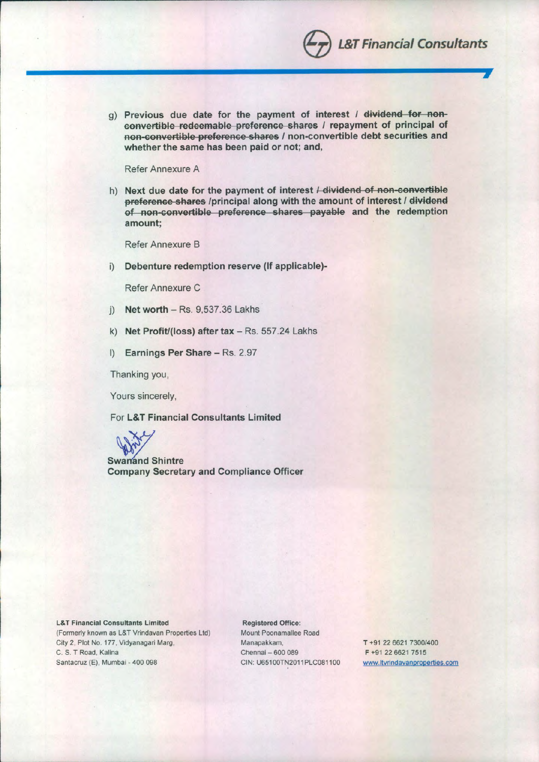g) Previous due date for the payment of interest *I* dividend for non**convertible redeemable preference shares** *l* repayment of principal of **ROB**-convertible preference shares / non-convertible debt securities and **whether the same has been paid or not; and,**

**------------------------------------..,.,**

Refer Annexure A

h) Next due date for the payment of interest *I* dividend of non-convertible **preference shares /principal along with the amount of interest / dividend** of non-convertible preference shares payable and the redemption **amount;**

Refer Annexure B

i) **Debenture redemption reserve (If applicable)-**

Refer Annexure C

- j) **Net worth -** Rs. 9,537.36 Lakhs
- k) **Net Profit/(loss) after tax Rs. 557.24 Lakhs**
- I) **Earnings Per Share Rs. 2.97**

Thanking you,

Yours sincerely,

For **L&T Financial Consultants Limited**



**Swanand Shintre Company Secretary and Compliance Officer**

L&T Financial Consultants Limited (Formerly known as L&T Vrindavan Properties Ltd) City 2, Plot No. 177, Vidyanagari Marg, C. S. T Road, Kalina Santacruz (E), Mumbai - 400 098

Registered Office: Mount Poonamallee Road Manapakkam, Chennai - 600 089 CIN: U65100TN2011PLC081100

T +91 22 6621 7300/400 F +91 226621 7515 **[www.ltvrindavanproperties.com](http://www.ltvrindavanproperties.com)**

**e** *L&T Financial Consultants*